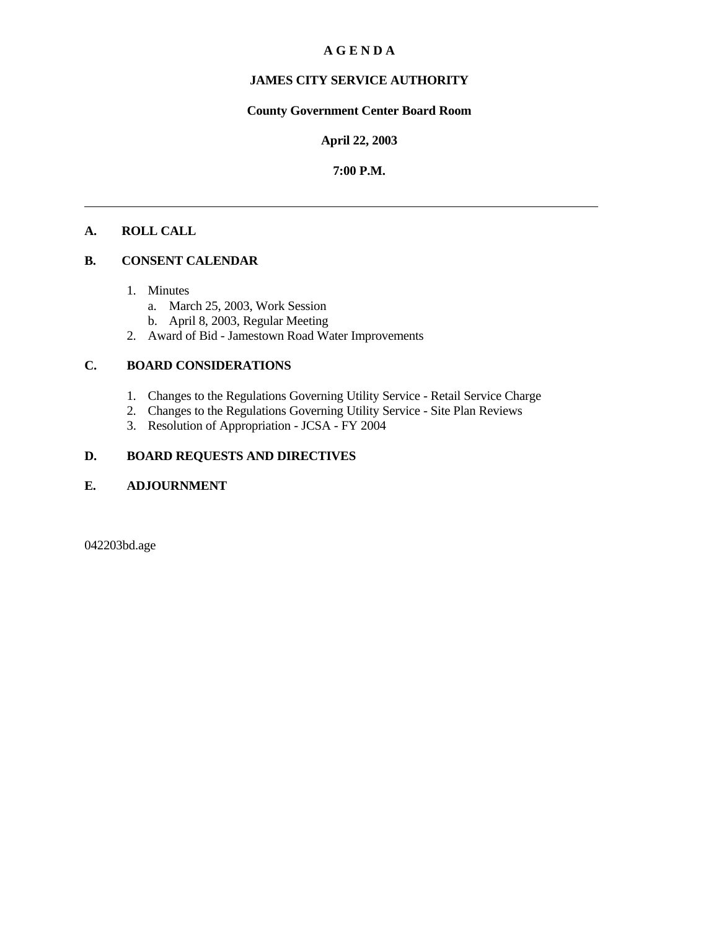# **A G E N D A**

# **JAMES CITY SERVICE AUTHORITY**

# **County Government Center Board Room**

## **April 22, 2003**

# **7:00 P.M.**

# **A. ROLL CALL**

# **B. CONSENT CALENDAR**

- 1. Minutes
	- a. March 25, 2003, Work Session
	- b. April 8, 2003, Regular Meeting
- 2. Award of Bid Jamestown Road Water Improvements

# **C. BOARD CONSIDERATIONS**

- 1. Changes to the Regulations Governing Utility Service Retail Service Charge
- 2. Changes to the Regulations Governing Utility Service Site Plan Reviews
- 3. Resolution of Appropriation JCSA FY 2004

# **D. BOARD REQUESTS AND DIRECTIVES**

# **E. ADJOURNMENT**

042203bd.age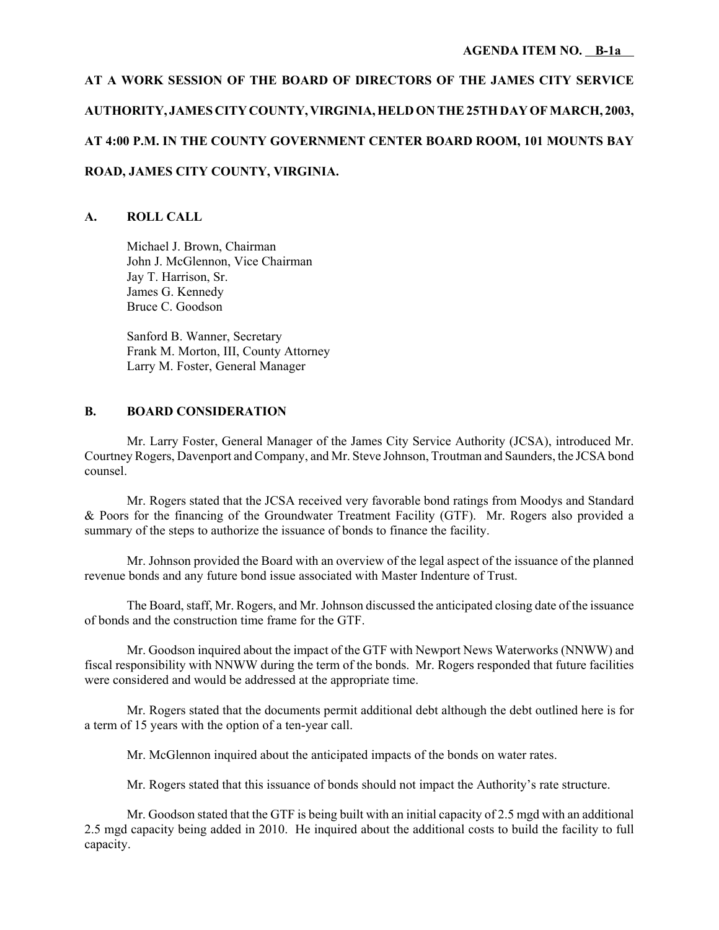# **AT A WORK SESSION OF THE BOARD OF DIRECTORS OF THE JAMES CITY SERVICE AUTHORITY, JAMES CITY COUNTY, VIRGINIA, HELD ON THE 25TH DAY OF MARCH, 2003, AT 4:00 P.M. IN THE COUNTY GOVERNMENT CENTER BOARD ROOM, 101 MOUNTS BAY ROAD, JAMES CITY COUNTY, VIRGINIA.**

# **A. ROLL CALL**

Michael J. Brown, Chairman John J. McGlennon, Vice Chairman Jay T. Harrison, Sr. James G. Kennedy Bruce C. Goodson

Sanford B. Wanner, Secretary Frank M. Morton, III, County Attorney Larry M. Foster, General Manager

## **B. BOARD CONSIDERATION**

Mr. Larry Foster, General Manager of the James City Service Authority (JCSA), introduced Mr. Courtney Rogers, Davenport and Company, and Mr. Steve Johnson, Troutman and Saunders, the JCSA bond counsel.

Mr. Rogers stated that the JCSA received very favorable bond ratings from Moodys and Standard & Poors for the financing of the Groundwater Treatment Facility (GTF). Mr. Rogers also provided a summary of the steps to authorize the issuance of bonds to finance the facility.

Mr. Johnson provided the Board with an overview of the legal aspect of the issuance of the planned revenue bonds and any future bond issue associated with Master Indenture of Trust.

The Board, staff, Mr. Rogers, and Mr. Johnson discussed the anticipated closing date of the issuance of bonds and the construction time frame for the GTF.

Mr. Goodson inquired about the impact of the GTF with Newport News Waterworks (NNWW) and fiscal responsibility with NNWW during the term of the bonds. Mr. Rogers responded that future facilities were considered and would be addressed at the appropriate time.

Mr. Rogers stated that the documents permit additional debt although the debt outlined here is for a term of 15 years with the option of a ten-year call.

Mr. McGlennon inquired about the anticipated impacts of the bonds on water rates.

Mr. Rogers stated that this issuance of bonds should not impact the Authority's rate structure.

Mr. Goodson stated that the GTF is being built with an initial capacity of 2.5 mgd with an additional 2.5 mgd capacity being added in 2010. He inquired about the additional costs to build the facility to full capacity.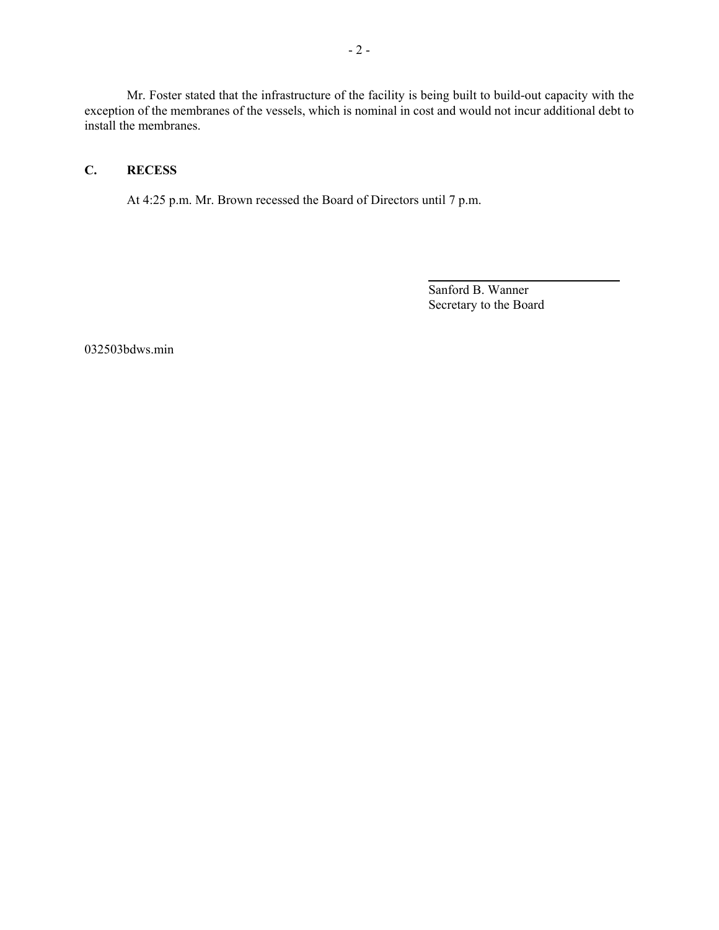Mr. Foster stated that the infrastructure of the facility is being built to build-out capacity with the exception of the membranes of the vessels, which is nominal in cost and would not incur additional debt to install the membranes.

# **C. RECESS**

At 4:25 p.m. Mr. Brown recessed the Board of Directors until 7 p.m.

Sanford B. Wanner Secretary to the Board

l

032503bdws.min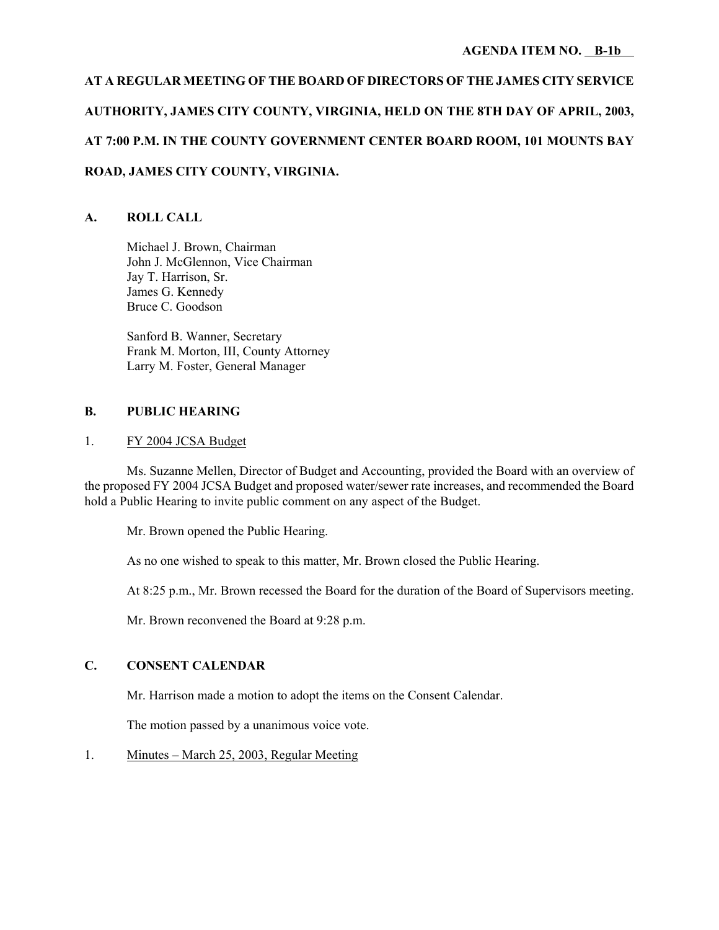# **AT A REGULAR MEETING OF THE BOARD OF DIRECTORS OF THE JAMES CITY SERVICE AUTHORITY, JAMES CITY COUNTY, VIRGINIA, HELD ON THE 8TH DAY OF APRIL, 2003, AT 7:00 P.M. IN THE COUNTY GOVERNMENT CENTER BOARD ROOM, 101 MOUNTS BAY ROAD, JAMES CITY COUNTY, VIRGINIA.**

# **A. ROLL CALL**

Michael J. Brown, Chairman John J. McGlennon, Vice Chairman Jay T. Harrison, Sr. James G. Kennedy Bruce C. Goodson

Sanford B. Wanner, Secretary Frank M. Morton, III, County Attorney Larry M. Foster, General Manager

# **B. PUBLIC HEARING**

## 1. FY 2004 JCSA Budget

Ms. Suzanne Mellen, Director of Budget and Accounting, provided the Board with an overview of the proposed FY 2004 JCSA Budget and proposed water/sewer rate increases, and recommended the Board hold a Public Hearing to invite public comment on any aspect of the Budget.

Mr. Brown opened the Public Hearing.

As no one wished to speak to this matter, Mr. Brown closed the Public Hearing.

At 8:25 p.m., Mr. Brown recessed the Board for the duration of the Board of Supervisors meeting.

Mr. Brown reconvened the Board at 9:28 p.m.

# **C. CONSENT CALENDAR**

Mr. Harrison made a motion to adopt the items on the Consent Calendar.

The motion passed by a unanimous voice vote.

# 1. Minutes – March 25, 2003, Regular Meeting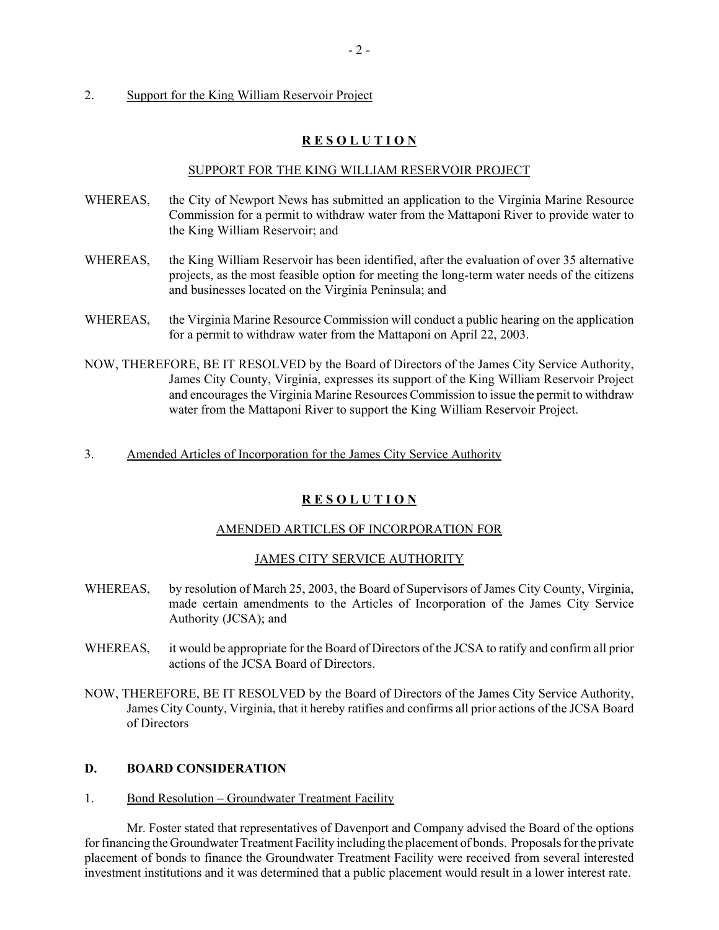#### 2. Support for the King William Reservoir Project

# **R E S O L U T I O N**

#### SUPPORT FOR THE KING WILLIAM RESERVOIR PROJECT

- WHEREAS, the City of Newport News has submitted an application to the Virginia Marine Resource Commission for a permit to withdraw water from the Mattaponi River to provide water to the King William Reservoir; and
- WHEREAS, the King William Reservoir has been identified, after the evaluation of over 35 alternative projects, as the most feasible option for meeting the long-term water needs of the citizens and businesses located on the Virginia Peninsula; and
- WHEREAS, the Virginia Marine Resource Commission will conduct a public hearing on the application for a permit to withdraw water from the Mattaponi on April 22, 2003.
- NOW, THEREFORE, BE IT RESOLVED by the Board of Directors of the James City Service Authority, James City County, Virginia, expresses its support of the King William Reservoir Project and encourages the Virginia Marine Resources Commission to issue the permit to withdraw water from the Mattaponi River to support the King William Reservoir Project.
- 3. Amended Articles of Incorporation for the James City Service Authority

## **R E S O L U T I O N**

# AMENDED ARTICLES OF INCORPORATION FOR

## JAMES CITY SERVICE AUTHORITY

- WHEREAS, by resolution of March 25, 2003, the Board of Supervisors of James City County, Virginia, made certain amendments to the Articles of Incorporation of the James City Service Authority (JCSA); and
- WHEREAS, it would be appropriate for the Board of Directors of the JCSA to ratify and confirm all prior actions of the JCSA Board of Directors.
- NOW, THEREFORE, BE IT RESOLVED by the Board of Directors of the James City Service Authority, James City County, Virginia, that it hereby ratifies and confirms all prior actions of the JCSA Board of Directors

## **D. BOARD CONSIDERATION**

1. Bond Resolution – Groundwater Treatment Facility

Mr. Foster stated that representatives of Davenport and Company advised the Board of the options for financing the Groundwater Treatment Facility including the placement of bonds. Proposals for the private placement of bonds to finance the Groundwater Treatment Facility were received from several interested investment institutions and it was determined that a public placement would result in a lower interest rate.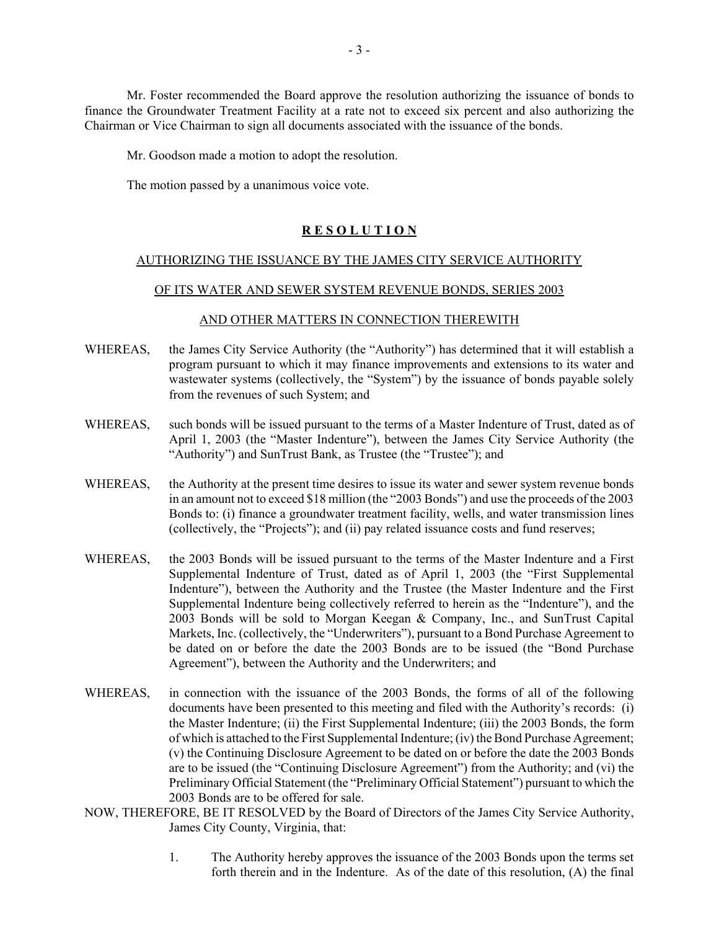Mr. Foster recommended the Board approve the resolution authorizing the issuance of bonds to finance the Groundwater Treatment Facility at a rate not to exceed six percent and also authorizing the Chairman or Vice Chairman to sign all documents associated with the issuance of the bonds.

Mr. Goodson made a motion to adopt the resolution.

The motion passed by a unanimous voice vote.

# **R E S O L U T I O N**

#### AUTHORIZING THE ISSUANCE BY THE JAMES CITY SERVICE AUTHORITY

#### OF ITS WATER AND SEWER SYSTEM REVENUE BONDS, SERIES 2003

#### AND OTHER MATTERS IN CONNECTION THEREWITH

- WHEREAS, the James City Service Authority (the "Authority") has determined that it will establish a program pursuant to which it may finance improvements and extensions to its water and wastewater systems (collectively, the "System") by the issuance of bonds payable solely from the revenues of such System; and
- WHEREAS, such bonds will be issued pursuant to the terms of a Master Indenture of Trust, dated as of April 1, 2003 (the "Master Indenture"), between the James City Service Authority (the "Authority") and SunTrust Bank, as Trustee (the "Trustee"); and
- WHEREAS, the Authority at the present time desires to issue its water and sewer system revenue bonds in an amount not to exceed \$18 million (the "2003 Bonds") and use the proceeds of the 2003 Bonds to: (i) finance a groundwater treatment facility, wells, and water transmission lines (collectively, the "Projects"); and (ii) pay related issuance costs and fund reserves;
- WHEREAS, the 2003 Bonds will be issued pursuant to the terms of the Master Indenture and a First Supplemental Indenture of Trust, dated as of April 1, 2003 (the "First Supplemental Indenture"), between the Authority and the Trustee (the Master Indenture and the First Supplemental Indenture being collectively referred to herein as the "Indenture"), and the 2003 Bonds will be sold to Morgan Keegan & Company, Inc., and SunTrust Capital Markets, Inc. (collectively, the "Underwriters"), pursuant to a Bond Purchase Agreement to be dated on or before the date the 2003 Bonds are to be issued (the "Bond Purchase Agreement"), between the Authority and the Underwriters; and
- WHEREAS, in connection with the issuance of the 2003 Bonds, the forms of all of the following documents have been presented to this meeting and filed with the Authority's records: (i) the Master Indenture; (ii) the First Supplemental Indenture; (iii) the 2003 Bonds, the form of which is attached to the First Supplemental Indenture; (iv) the Bond Purchase Agreement; (v) the Continuing Disclosure Agreement to be dated on or before the date the 2003 Bonds are to be issued (the "Continuing Disclosure Agreement") from the Authority; and (vi) the Preliminary Official Statement (the "Preliminary Official Statement") pursuant to which the 2003 Bonds are to be offered for sale.
- NOW, THEREFORE, BE IT RESOLVED by the Board of Directors of the James City Service Authority, James City County, Virginia, that:
	- 1. The Authority hereby approves the issuance of the 2003 Bonds upon the terms set forth therein and in the Indenture. As of the date of this resolution, (A) the final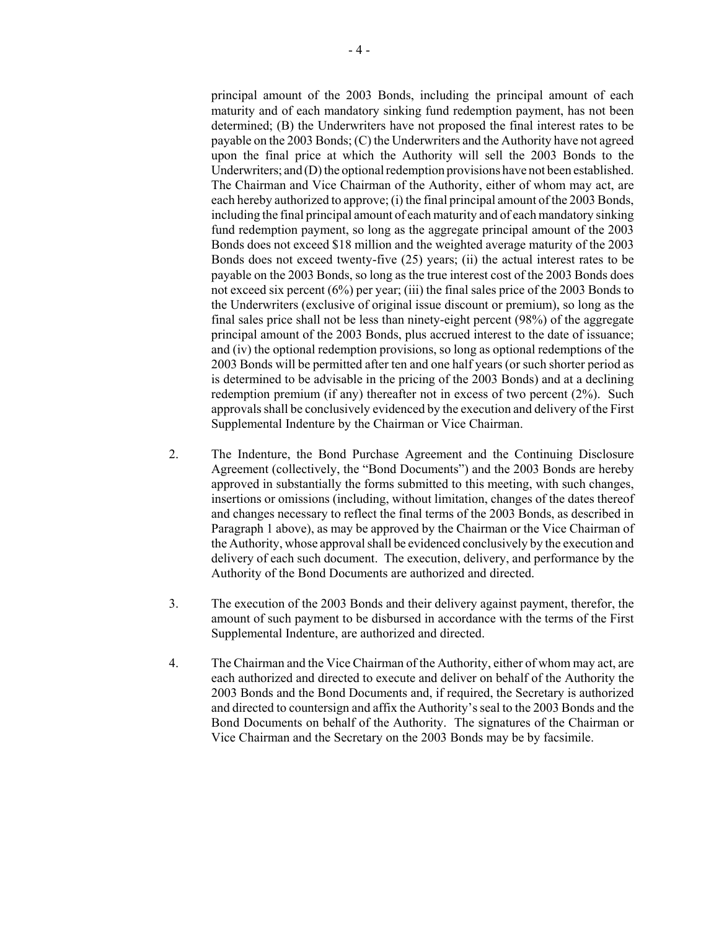principal amount of the 2003 Bonds, including the principal amount of each maturity and of each mandatory sinking fund redemption payment, has not been determined; (B) the Underwriters have not proposed the final interest rates to be payable on the 2003 Bonds; (C) the Underwriters and the Authority have not agreed upon the final price at which the Authority will sell the 2003 Bonds to the Underwriters; and (D) the optional redemption provisions have not been established. The Chairman and Vice Chairman of the Authority, either of whom may act, are each hereby authorized to approve; (i) the final principal amount of the 2003 Bonds, including the final principal amount of each maturity and of each mandatory sinking fund redemption payment, so long as the aggregate principal amount of the 2003 Bonds does not exceed \$18 million and the weighted average maturity of the 2003 Bonds does not exceed twenty-five (25) years; (ii) the actual interest rates to be payable on the 2003 Bonds, so long as the true interest cost of the 2003 Bonds does not exceed six percent (6%) per year; (iii) the final sales price of the 2003 Bonds to the Underwriters (exclusive of original issue discount or premium), so long as the final sales price shall not be less than ninety-eight percent (98%) of the aggregate principal amount of the 2003 Bonds, plus accrued interest to the date of issuance; and (iv) the optional redemption provisions, so long as optional redemptions of the 2003 Bonds will be permitted after ten and one half years (or such shorter period as is determined to be advisable in the pricing of the 2003 Bonds) and at a declining redemption premium (if any) thereafter not in excess of two percent (2%). Such approvals shall be conclusively evidenced by the execution and delivery of the First Supplemental Indenture by the Chairman or Vice Chairman.

- 2. The Indenture, the Bond Purchase Agreement and the Continuing Disclosure Agreement (collectively, the "Bond Documents") and the 2003 Bonds are hereby approved in substantially the forms submitted to this meeting, with such changes, insertions or omissions (including, without limitation, changes of the dates thereof and changes necessary to reflect the final terms of the 2003 Bonds, as described in Paragraph 1 above), as may be approved by the Chairman or the Vice Chairman of the Authority, whose approval shall be evidenced conclusively by the execution and delivery of each such document. The execution, delivery, and performance by the Authority of the Bond Documents are authorized and directed.
- 3. The execution of the 2003 Bonds and their delivery against payment, therefor, the amount of such payment to be disbursed in accordance with the terms of the First Supplemental Indenture, are authorized and directed.
- 4. The Chairman and the Vice Chairman of the Authority, either of whom may act, are each authorized and directed to execute and deliver on behalf of the Authority the 2003 Bonds and the Bond Documents and, if required, the Secretary is authorized and directed to countersign and affix the Authority's seal to the 2003 Bonds and the Bond Documents on behalf of the Authority. The signatures of the Chairman or Vice Chairman and the Secretary on the 2003 Bonds may be by facsimile.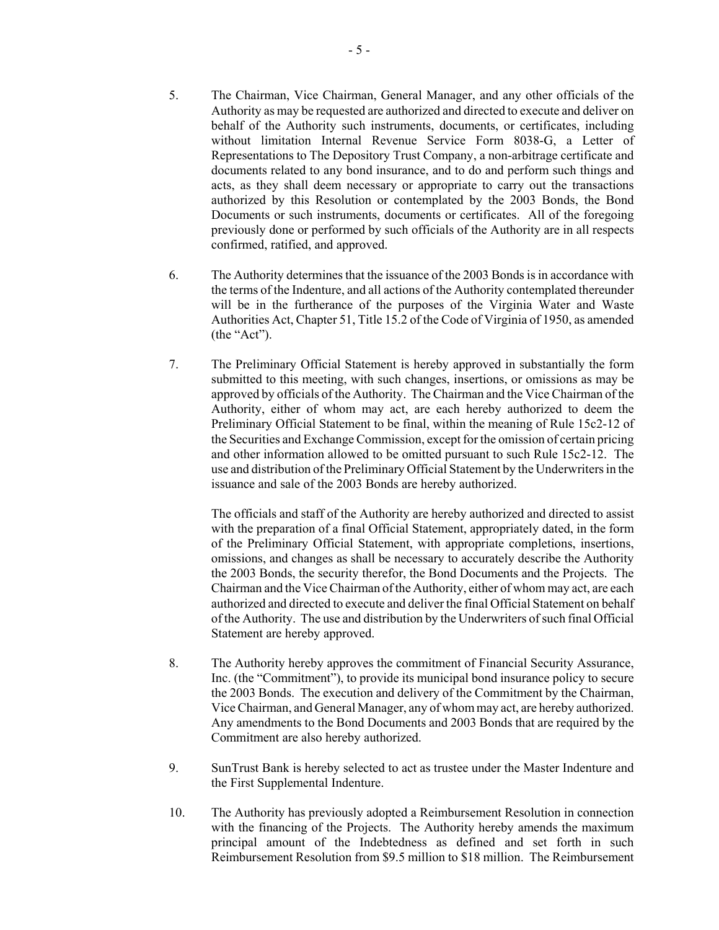- 5. The Chairman, Vice Chairman, General Manager, and any other officials of the Authority as may be requested are authorized and directed to execute and deliver on behalf of the Authority such instruments, documents, or certificates, including without limitation Internal Revenue Service Form 8038-G, a Letter of Representations to The Depository Trust Company, a non-arbitrage certificate and documents related to any bond insurance, and to do and perform such things and acts, as they shall deem necessary or appropriate to carry out the transactions authorized by this Resolution or contemplated by the 2003 Bonds, the Bond Documents or such instruments, documents or certificates. All of the foregoing previously done or performed by such officials of the Authority are in all respects confirmed, ratified, and approved.
- 6. The Authority determines that the issuance of the 2003 Bonds is in accordance with the terms of the Indenture, and all actions of the Authority contemplated thereunder will be in the furtherance of the purposes of the Virginia Water and Waste Authorities Act, Chapter 51, Title 15.2 of the Code of Virginia of 1950, as amended (the "Act").
- 7. The Preliminary Official Statement is hereby approved in substantially the form submitted to this meeting, with such changes, insertions, or omissions as may be approved by officials of the Authority. The Chairman and the Vice Chairman of the Authority, either of whom may act, are each hereby authorized to deem the Preliminary Official Statement to be final, within the meaning of Rule 15c2-12 of the Securities and Exchange Commission, except for the omission of certain pricing and other information allowed to be omitted pursuant to such Rule 15c2-12. The use and distribution of the Preliminary Official Statement by the Underwriters in the issuance and sale of the 2003 Bonds are hereby authorized.

The officials and staff of the Authority are hereby authorized and directed to assist with the preparation of a final Official Statement, appropriately dated, in the form of the Preliminary Official Statement, with appropriate completions, insertions, omissions, and changes as shall be necessary to accurately describe the Authority the 2003 Bonds, the security therefor, the Bond Documents and the Projects. The Chairman and the Vice Chairman of the Authority, either of whom may act, are each authorized and directed to execute and deliver the final Official Statement on behalf of the Authority. The use and distribution by the Underwriters of such final Official Statement are hereby approved.

- 8. The Authority hereby approves the commitment of Financial Security Assurance, Inc. (the "Commitment"), to provide its municipal bond insurance policy to secure the 2003 Bonds. The execution and delivery of the Commitment by the Chairman, Vice Chairman, and General Manager, any of whom may act, are hereby authorized. Any amendments to the Bond Documents and 2003 Bonds that are required by the Commitment are also hereby authorized.
- 9. SunTrust Bank is hereby selected to act as trustee under the Master Indenture and the First Supplemental Indenture.
- 10. The Authority has previously adopted a Reimbursement Resolution in connection with the financing of the Projects. The Authority hereby amends the maximum principal amount of the Indebtedness as defined and set forth in such Reimbursement Resolution from \$9.5 million to \$18 million. The Reimbursement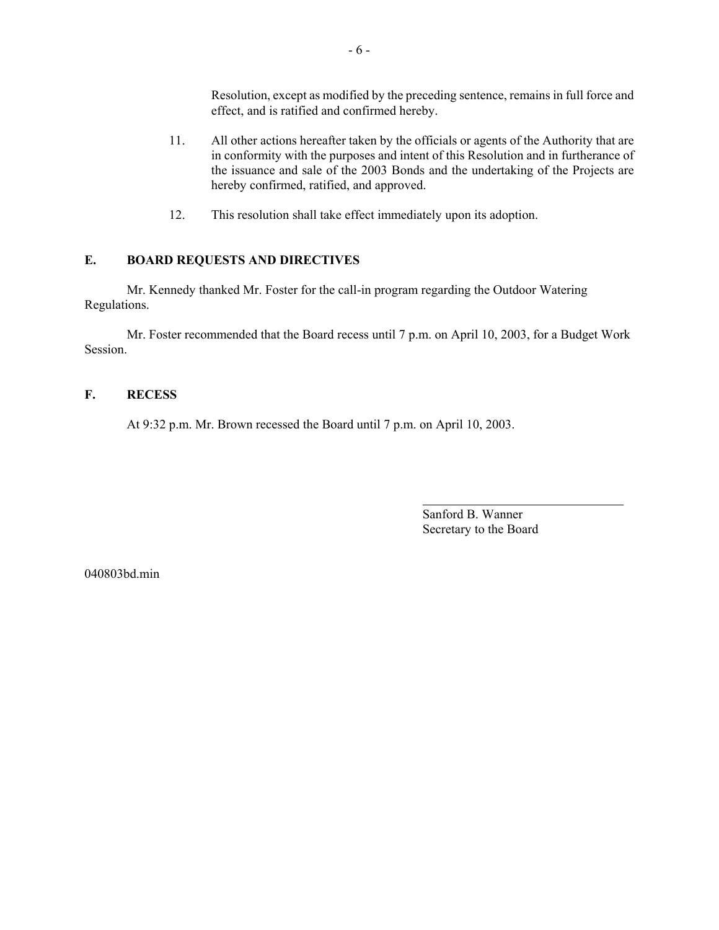Resolution, except as modified by the preceding sentence, remains in full force and effect, and is ratified and confirmed hereby.

- 11. All other actions hereafter taken by the officials or agents of the Authority that are in conformity with the purposes and intent of this Resolution and in furtherance of the issuance and sale of the 2003 Bonds and the undertaking of the Projects are hereby confirmed, ratified, and approved.
- 12. This resolution shall take effect immediately upon its adoption.

# **E. BOARD REQUESTS AND DIRECTIVES**

Mr. Kennedy thanked Mr. Foster for the call-in program regarding the Outdoor Watering Regulations.

Mr. Foster recommended that the Board recess until 7 p.m. on April 10, 2003, for a Budget Work Session.

# **F. RECESS**

At 9:32 p.m. Mr. Brown recessed the Board until 7 p.m. on April 10, 2003.

Sanford B. Wanner Secretary to the Board

 $\overline{a}$ 

040803bd.min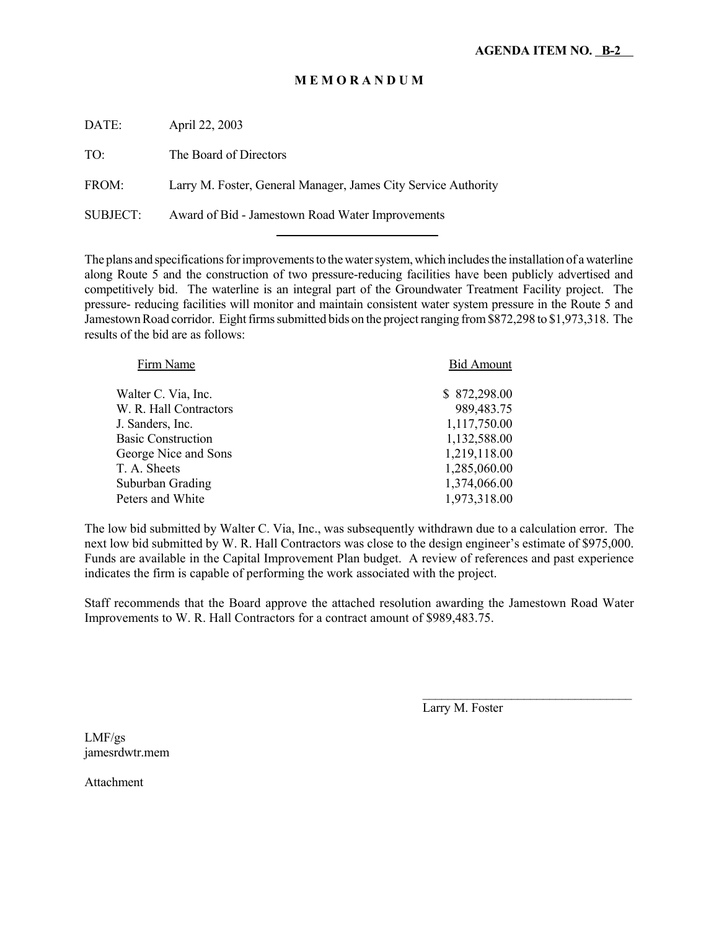# **M E M O R A N D U M**

| DATE:           | April 22, 2003                                                 |
|-----------------|----------------------------------------------------------------|
| TO <sup>.</sup> | The Board of Directors                                         |
| FROM:           | Larry M. Foster, General Manager, James City Service Authority |
| SUBJECT:        | Award of Bid - Jamestown Road Water Improvements               |

l

The plans and specifications for improvements to the water system, which includes the installation of a waterline along Route 5 and the construction of two pressure-reducing facilities have been publicly advertised and competitively bid. The waterline is an integral part of the Groundwater Treatment Facility project. The pressure- reducing facilities will monitor and maintain consistent water system pressure in the Route 5 and Jamestown Road corridor. Eight firms submitted bids on the project ranging from \$872,298 to \$1,973,318. The results of the bid are as follows:

| Firm Name                 | <b>Bid Amount</b> |
|---------------------------|-------------------|
| Walter C. Via, Inc.       | \$872,298.00      |
| W. R. Hall Contractors    | 989,483.75        |
| J. Sanders, Inc.          | 1,117,750.00      |
| <b>Basic Construction</b> | 1,132,588.00      |
| George Nice and Sons      | 1,219,118.00      |
| T. A. Sheets              | 1,285,060.00      |
| Suburban Grading          | 1,374,066.00      |
| Peters and White          | 1,973,318.00      |
|                           |                   |

The low bid submitted by Walter C. Via, Inc., was subsequently withdrawn due to a calculation error. The next low bid submitted by W. R. Hall Contractors was close to the design engineer's estimate of \$975,000. Funds are available in the Capital Improvement Plan budget. A review of references and past experience indicates the firm is capable of performing the work associated with the project.

Staff recommends that the Board approve the attached resolution awarding the Jamestown Road Water Improvements to W. R. Hall Contractors for a contract amount of \$989,483.75.

Larry M. Foster

 $\mathcal{L}_\text{max}$ 

LMF/gs jamesrdwtr.mem

Attachment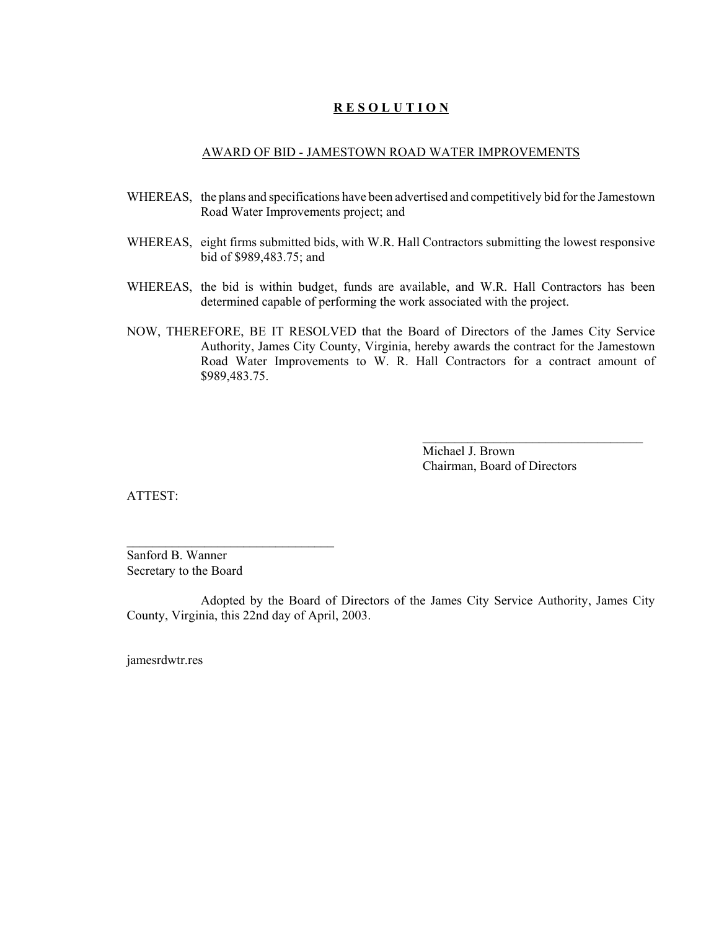# **R E S O L U T I O N**

#### AWARD OF BID - JAMESTOWN ROAD WATER IMPROVEMENTS

- WHEREAS, the plans and specifications have been advertised and competitively bid for the Jamestown Road Water Improvements project; and
- WHEREAS, eight firms submitted bids, with W.R. Hall Contractors submitting the lowest responsive bid of \$989,483.75; and
- WHEREAS, the bid is within budget, funds are available, and W.R. Hall Contractors has been determined capable of performing the work associated with the project.
- NOW, THEREFORE, BE IT RESOLVED that the Board of Directors of the James City Service Authority, James City County, Virginia, hereby awards the contract for the Jamestown Road Water Improvements to W. R. Hall Contractors for a contract amount of \$989,483.75.

Michael J. Brown Chairman, Board of Directors

 $\mathcal{L}_\text{max}$ 

ATTEST:

Sanford B. Wanner Secretary to the Board

 $\mathcal{L}_\text{max}$  , where  $\mathcal{L}_\text{max}$  is the set of the set of the set of the set of the set of the set of the set of the set of the set of the set of the set of the set of the set of the set of the set of the set of the se

Adopted by the Board of Directors of the James City Service Authority, James City County, Virginia, this 22nd day of April, 2003.

jamesrdwtr.res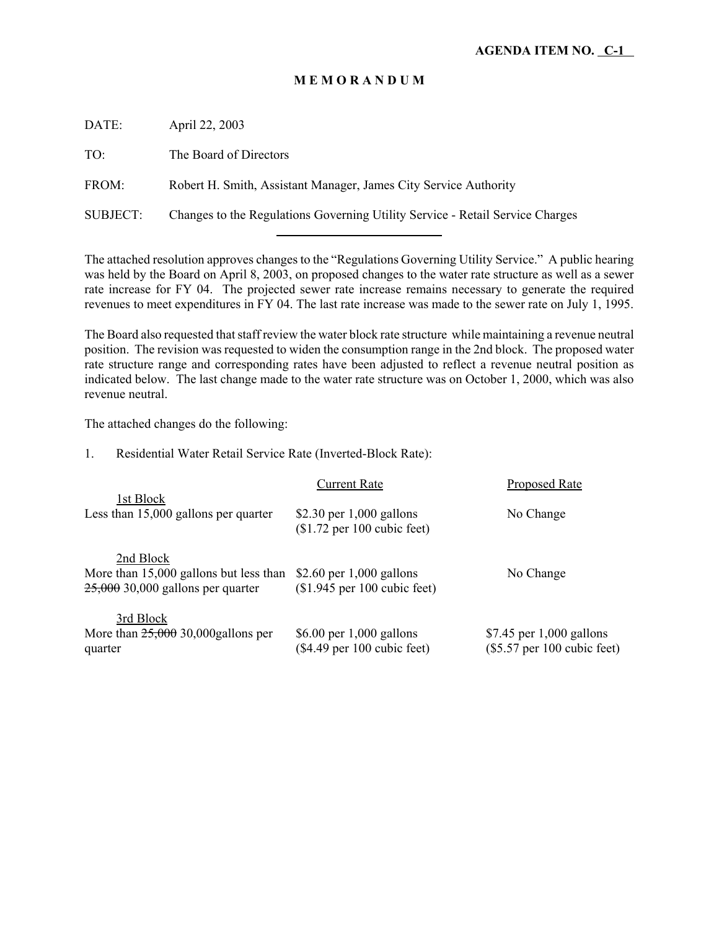# **M E M O R A N D U M**

DATE: April 22, 2003

TO: The Board of Directors

FROM: Robert H. Smith, Assistant Manager, James City Service Authority

l

SUBJECT: Changes to the Regulations Governing Utility Service - Retail Service Charges

The attached resolution approves changes to the "Regulations Governing Utility Service." A public hearing was held by the Board on April 8, 2003, on proposed changes to the water rate structure as well as a sewer rate increase for FY 04. The projected sewer rate increase remains necessary to generate the required revenues to meet expenditures in FY 04. The last rate increase was made to the sewer rate on July 1, 1995.

The Board also requested that staff review the water block rate structure while maintaining a revenue neutral position. The revision was requested to widen the consumption range in the 2nd block. The proposed water rate structure range and corresponding rates have been adjusted to reflect a revenue neutral position as indicated below. The last change made to the water rate structure was on October 1, 2000, which was also revenue neutral.

The attached changes do the following:

## 1. Residential Water Retail Service Rate (Inverted-Block Rate):

|                                                                                            | Current Rate                                                | Proposed Rate                                               |
|--------------------------------------------------------------------------------------------|-------------------------------------------------------------|-------------------------------------------------------------|
| 1st Block<br>Less than $15,000$ gallons per quarter                                        | \$2.30 per $1,000$ gallons<br>$$1.72$ per 100 cubic feet)   | No Change                                                   |
| 2nd Block<br>More than 15,000 gallons but less than<br>$25,000$ 30,000 gallons per quarter | \$2.60 per $1,000$ gallons<br>$($1.945$ per 100 cubic feet) | No Change                                                   |
| 3rd Block<br>More than $25,000$ 30,000 gallons per<br>quarter                              | \$6.00 per $1,000$ gallons<br>$(\$4.49$ per 100 cubic feet) | \$7.45 per $1,000$ gallons<br>$(\$5.57$ per 100 cubic feet) |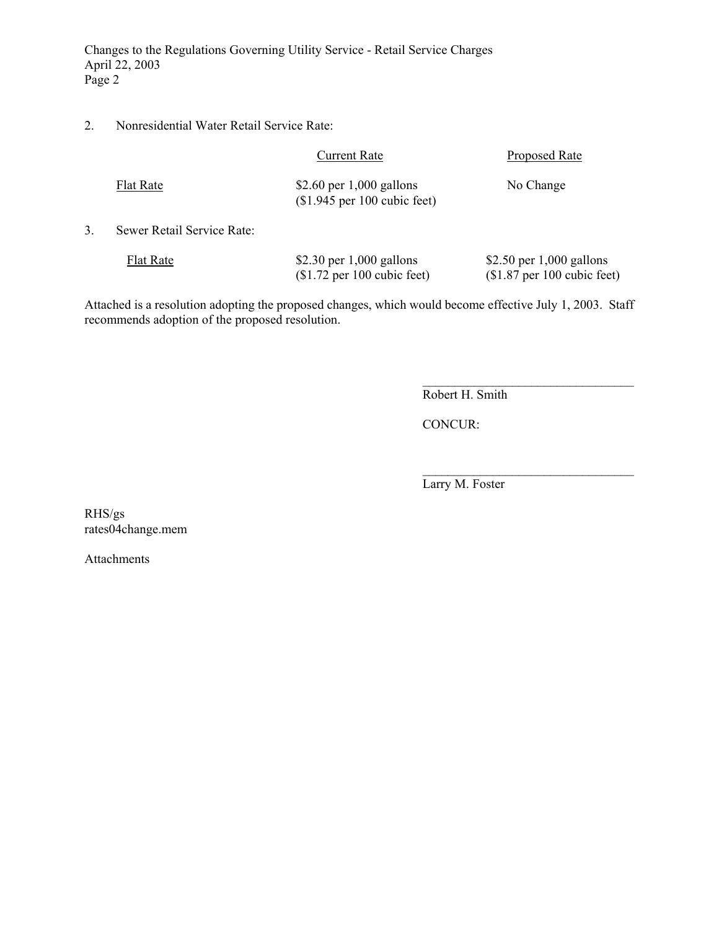Changes to the Regulations Governing Utility Service - Retail Service Charges April 22, 2003 Page 2

2. Nonresidential Water Retail Service Rate:

|                            | <b>Current Rate</b>                                         | Proposed Rate                                              |
|----------------------------|-------------------------------------------------------------|------------------------------------------------------------|
| <b>Flat Rate</b>           | \$2.60 per $1,000$ gallons<br>$($1.945$ per 100 cubic feet) | No Change                                                  |
| Sewer Retail Service Rate: |                                                             |                                                            |
| <b>Flat Rate</b>           | \$2.30 per $1,000$ gallons<br>$$1.72$ per 100 cubic feet)   | \$2.50 per $1,000$ gallons<br>$($1.87$ per 100 cubic feet) |

Attached is a resolution adopting the proposed changes, which would become effective July 1, 2003. Staff recommends adoption of the proposed resolution.

Robert H. Smith

 $\mathcal{L}_\text{max}$ 

CONCUR:

Larry M. Foster

RHS/gs rates04change.mem

Attachments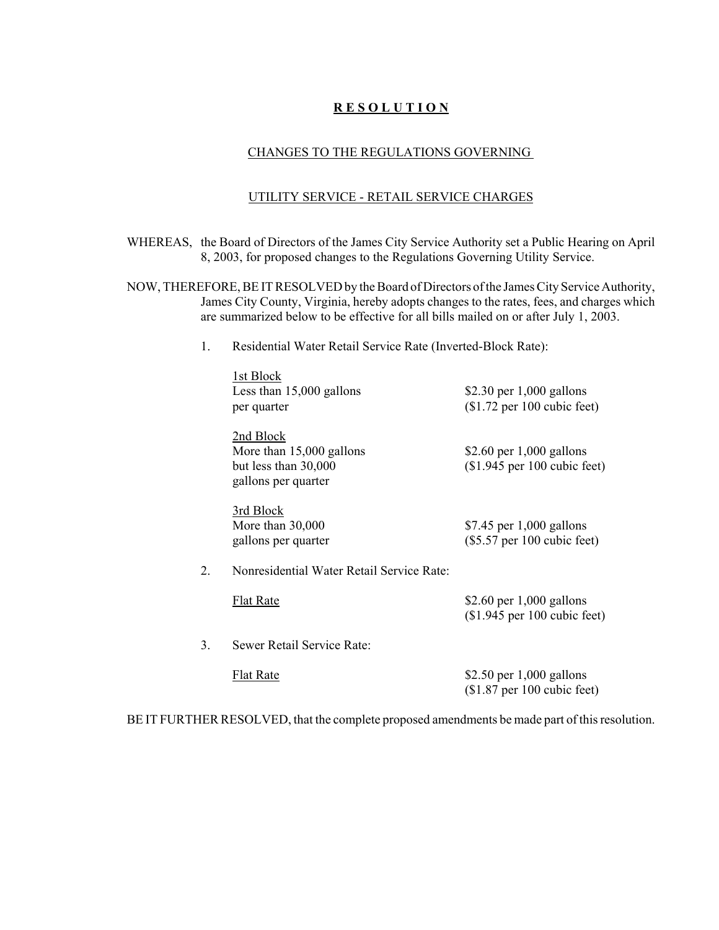# **R E S O L U T I O N**

# CHANGES TO THE REGULATIONS GOVERNING

# UTILITY SERVICE - RETAIL SERVICE CHARGES

- WHEREAS, the Board of Directors of the James City Service Authority set a Public Hearing on April 8, 2003, for proposed changes to the Regulations Governing Utility Service.
- NOW, THEREFORE, BE IT RESOLVED by the Board of Directors of the James City Service Authority, James City County, Virginia, hereby adopts changes to the rates, fees, and charges which are summarized below to be effective for all bills mailed on or after July 1, 2003.
	- 1. Residential Water Retail Service Rate (Inverted-Block Rate):

|    | 1st Block<br>Less than 15,000 gallons<br>per quarter                                   | \$2.30 per $1,000$ gallons<br>$($1.72$ per 100 cubic feet)  |
|----|----------------------------------------------------------------------------------------|-------------------------------------------------------------|
|    | 2nd Block<br>More than $15,000$ gallons<br>but less than 30,000<br>gallons per quarter | \$2.60 per $1,000$ gallons<br>$($1.945$ per 100 cubic feet) |
|    | 3rd Block<br>More than 30,000<br>gallons per quarter                                   | \$7.45 per 1,000 gallons<br>$(\$5.57$ per 100 cubic feet)   |
| 2. | Nonresidential Water Retail Service Rate:                                              |                                                             |
|    | <b>Flat Rate</b>                                                                       | \$2.60 per $1,000$ gallons<br>$($1.945$ per 100 cubic feet) |
| 3. | Sewer Retail Service Rate:                                                             |                                                             |
|    | Flat Rate                                                                              | \$2.50 per $1,000$ gallons<br>$($1.87$ per 100 cubic feet)  |

BE IT FURTHER RESOLVED, that the complete proposed amendments be made part of this resolution.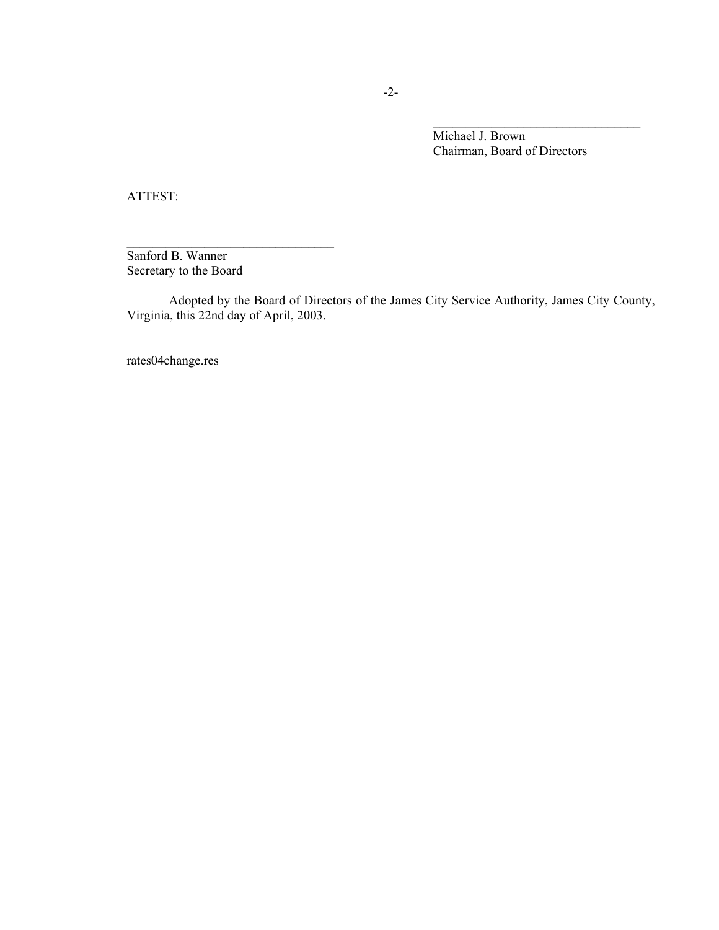Michael J. Brown Chairman, Board of Directors

ATTEST:

Sanford B. Wanner Secretary to the Board

 $\mathcal{L}_\text{max}$ 

Adopted by the Board of Directors of the James City Service Authority, James City County, Virginia, this 22nd day of April, 2003.

rates04change.res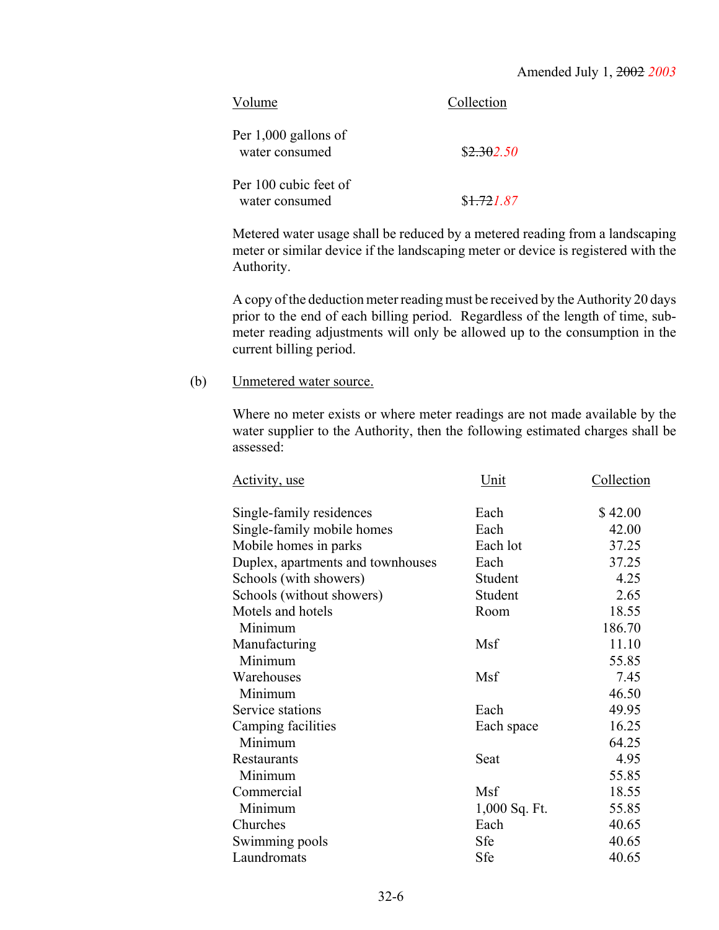| Volume                                   | Collection |
|------------------------------------------|------------|
| Per $1,000$ gallons of<br>water consumed | \$2,302,50 |
| Per 100 cubic feet of<br>water consumed  | \$1.721.87 |

Metered water usage shall be reduced by a metered reading from a landscaping meter or similar device if the landscaping meter or device is registered with the Authority.

A copy of the deduction meter reading must be received by the Authority 20 days prior to the end of each billing period. Regardless of the length of time, submeter reading adjustments will only be allowed up to the consumption in the current billing period.

# (b) Unmetered water source.

Where no meter exists or where meter readings are not made available by the water supplier to the Authority, then the following estimated charges shall be assessed:

| \$42.00<br>42.00<br>37.25<br>37.25 |
|------------------------------------|
|                                    |
|                                    |
|                                    |
|                                    |
| 4.25                               |
| 2.65                               |
| 18.55                              |
| 186.70                             |
| 11.10                              |
| 55.85                              |
| 7.45                               |
| 46.50                              |
| 49.95                              |
| 16.25                              |
| 64.25                              |
| 4.95                               |
| 55.85                              |
| 18.55                              |
| 55.85                              |
| 40.65                              |
| 40.65                              |
| 40.65                              |
|                                    |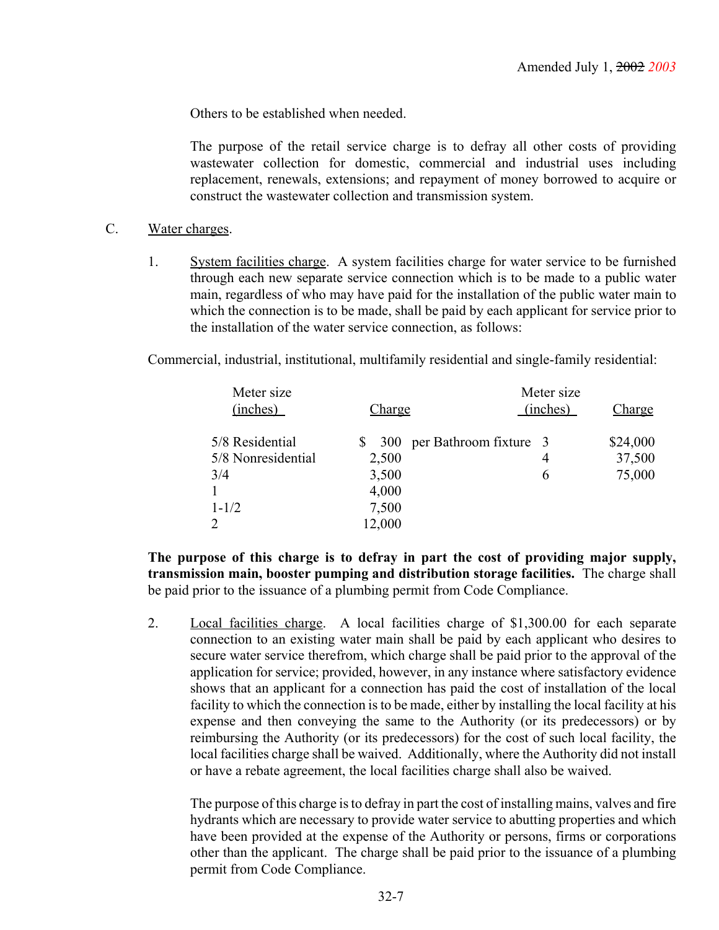Others to be established when needed.

The purpose of the retail service charge is to defray all other costs of providing wastewater collection for domestic, commercial and industrial uses including replacement, renewals, extensions; and repayment of money borrowed to acquire or construct the wastewater collection and transmission system.

- C. Water charges.
	- 1. System facilities charge. A system facilities charge for water service to be furnished through each new separate service connection which is to be made to a public water main, regardless of who may have paid for the installation of the public water main to which the connection is to be made, shall be paid by each applicant for service prior to the installation of the water service connection, as follows:

Commercial, industrial, institutional, multifamily residential and single-family residential:

| Meter size         |        | Meter size                 |          |
|--------------------|--------|----------------------------|----------|
| (inches)           | Charge | (inches)                   | Charge   |
| 5/8 Residential    | \$     | 300 per Bathroom fixture 3 | \$24,000 |
| 5/8 Nonresidential | 2,500  | 4                          | 37,500   |
| 3/4                | 3,500  | 6                          | 75,000   |
|                    | 4,000  |                            |          |
| $1 - 1/2$          | 7,500  |                            |          |
| 2                  | 12,000 |                            |          |

**The purpose of this charge is to defray in part the cost of providing major supply, transmission main, booster pumping and distribution storage facilities.** The charge shall be paid prior to the issuance of a plumbing permit from Code Compliance.

2. Local facilities charge. A local facilities charge of \$1,300.00 for each separate connection to an existing water main shall be paid by each applicant who desires to secure water service therefrom, which charge shall be paid prior to the approval of the application for service; provided, however, in any instance where satisfactory evidence shows that an applicant for a connection has paid the cost of installation of the local facility to which the connection is to be made, either by installing the local facility at his expense and then conveying the same to the Authority (or its predecessors) or by reimbursing the Authority (or its predecessors) for the cost of such local facility, the local facilities charge shall be waived. Additionally, where the Authority did not install or have a rebate agreement, the local facilities charge shall also be waived.

The purpose of this charge is to defray in part the cost of installing mains, valves and fire hydrants which are necessary to provide water service to abutting properties and which have been provided at the expense of the Authority or persons, firms or corporations other than the applicant. The charge shall be paid prior to the issuance of a plumbing permit from Code Compliance.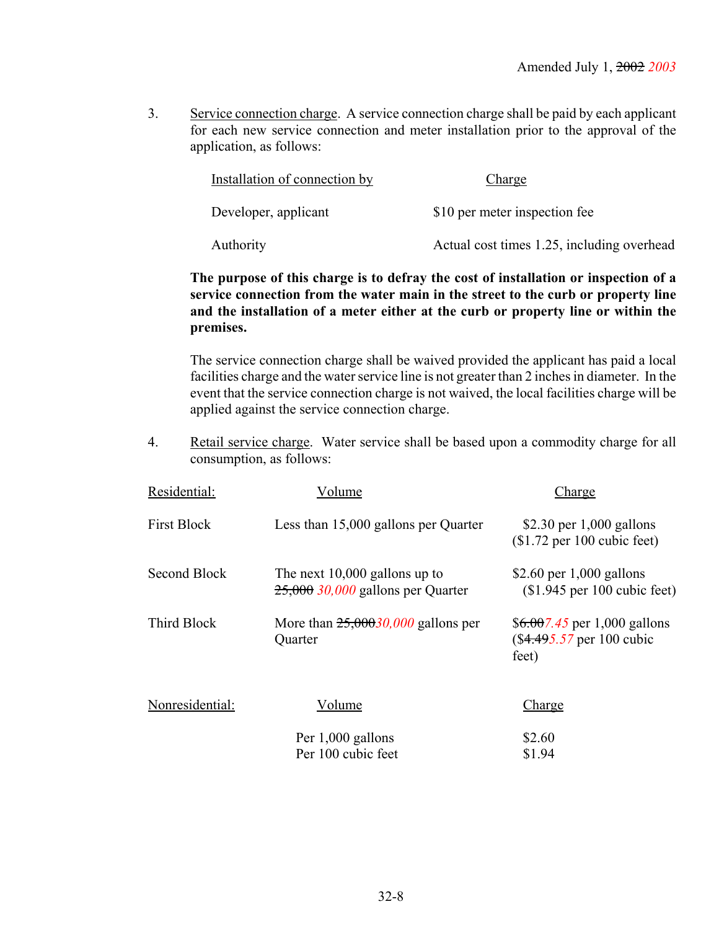3. Service connection charge. A service connection charge shall be paid by each applicant for each new service connection and meter installation prior to the approval of the application, as follows:

| Installation of connection by | Charge                                     |
|-------------------------------|--------------------------------------------|
| Developer, applicant          | \$10 per meter inspection fee              |
| Authority                     | Actual cost times 1.25, including overhead |

# **The purpose of this charge is to defray the cost of installation or inspection of a service connection from the water main in the street to the curb or property line and the installation of a meter either at the curb or property line or within the premises.**

The service connection charge shall be waived provided the applicant has paid a local facilities charge and the water service line is not greater than 2 inches in diameter. In the event that the service connection charge is not waived, the local facilities charge will be applied against the service connection charge.

4. Retail service charge. Water service shall be based upon a commodity charge for all consumption, as follows:

| Residential:       | Volume                                                                 | Charge                                                                |
|--------------------|------------------------------------------------------------------------|-----------------------------------------------------------------------|
| <b>First Block</b> | Less than 15,000 gallons per Quarter                                   | \$2.30 per $1,000$ gallons<br>$($1.72$ per 100 cubic feet)            |
| Second Block       | The next $10,000$ gallons up to<br>$25,000$ 30,000 gallons per Quarter | \$2.60 per $1,000$ gallons<br>$$1.945$ per 100 cubic feet)            |
| <b>Third Block</b> | More than $25,00030,000$ gallons per<br>Quarter                        | $$6.007.45$ per 1,000 gallons<br>$(\$4.495.57$ per 100 cubic<br>feet) |
| Nonresidential:    | Volume                                                                 | <b>Charge</b>                                                         |
|                    | Per 1,000 gallons<br>Per 100 cubic feet                                | \$2.60<br>\$1.94                                                      |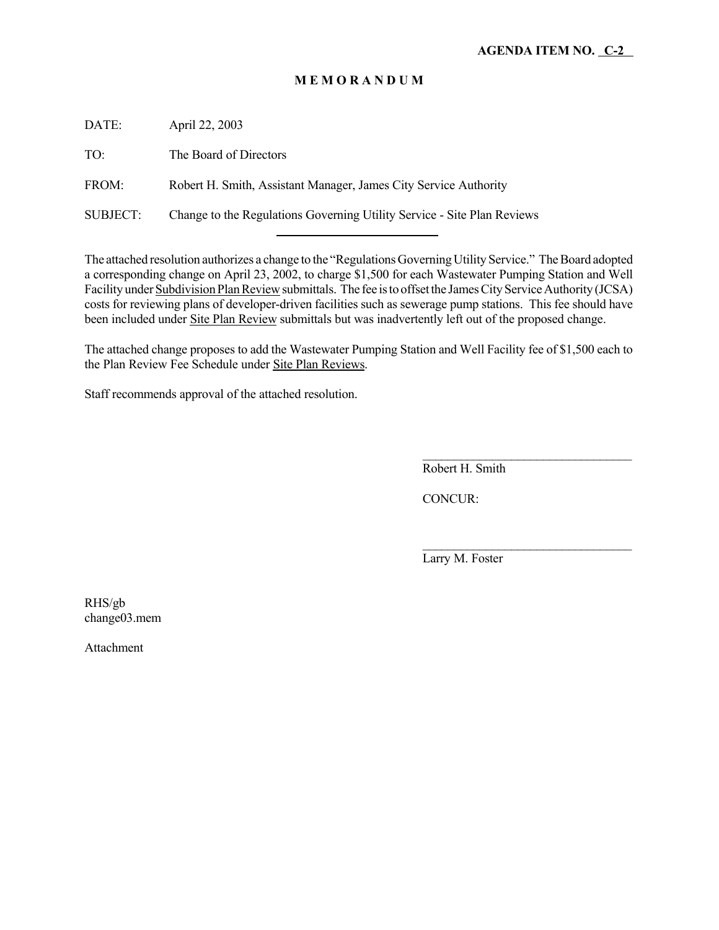# **M E M O R A N D U M**

DATE: April 22, 2003

TO: The Board of Directors

FROM: Robert H. Smith, Assistant Manager, James City Service Authority

l

SUBJECT: Change to the Regulations Governing Utility Service - Site Plan Reviews

The attached resolution authorizes a change to the "Regulations Governing Utility Service." The Board adopted a corresponding change on April 23, 2002, to charge \$1,500 for each Wastewater Pumping Station and Well Facility under Subdivision Plan Review submittals. The fee is to offset the James City Service Authority (JCSA) costs for reviewing plans of developer-driven facilities such as sewerage pump stations. This fee should have been included under Site Plan Review submittals but was inadvertently left out of the proposed change.

The attached change proposes to add the Wastewater Pumping Station and Well Facility fee of \$1,500 each to the Plan Review Fee Schedule under Site Plan Reviews.

Staff recommends approval of the attached resolution.

Robert H. Smith

 $\mathcal{L}_\text{max}$ 

 $\mathcal{L}_\text{max}$ 

CONCUR:

Larry M. Foster

RHS/gb change03.mem

Attachment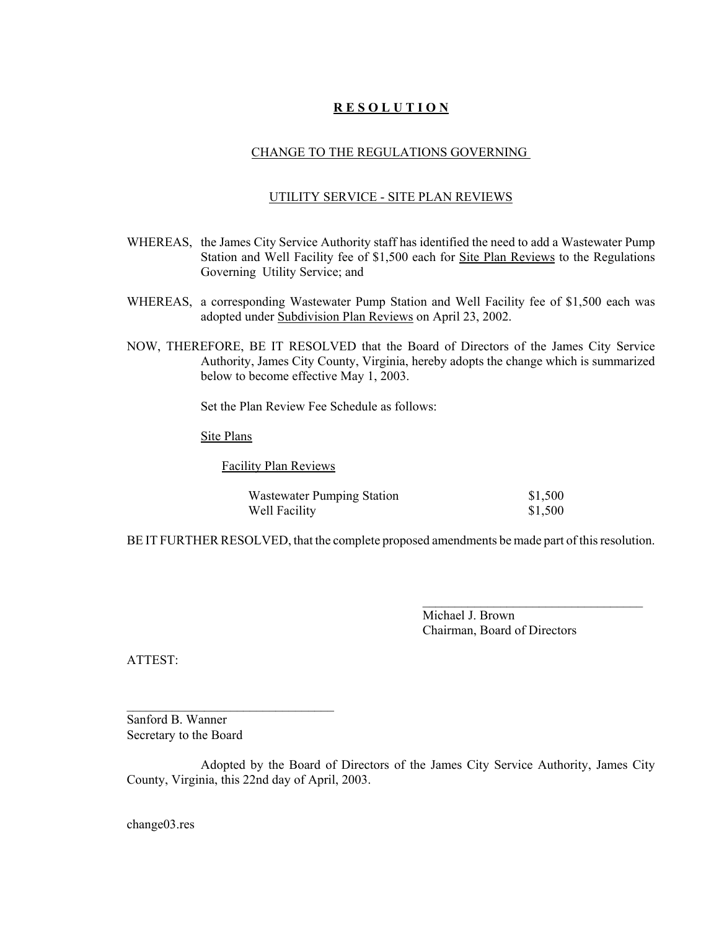# **R E S O L U T I O N**

# CHANGE TO THE REGULATIONS GOVERNING

## UTILITY SERVICE - SITE PLAN REVIEWS

- WHEREAS, the James City Service Authority staff has identified the need to add a Wastewater Pump Station and Well Facility fee of \$1,500 each for Site Plan Reviews to the Regulations Governing Utility Service; and
- WHEREAS, a corresponding Wastewater Pump Station and Well Facility fee of \$1,500 each was adopted under Subdivision Plan Reviews on April 23, 2002.
- NOW, THEREFORE, BE IT RESOLVED that the Board of Directors of the James City Service Authority, James City County, Virginia, hereby adopts the change which is summarized below to become effective May 1, 2003.

Set the Plan Review Fee Schedule as follows:

Site Plans

Facility Plan Reviews

| <b>Wastewater Pumping Station</b> | \$1,500 |
|-----------------------------------|---------|
| Well Facility                     | \$1,500 |

BE IT FURTHER RESOLVED, that the complete proposed amendments be made part of this resolution.

Michael J. Brown Chairman, Board of Directors

ATTEST:

Sanford B. Wanner Secretary to the Board

 $\mathcal{L}_\text{max}$ 

Adopted by the Board of Directors of the James City Service Authority, James City County, Virginia, this 22nd day of April, 2003.

change03.res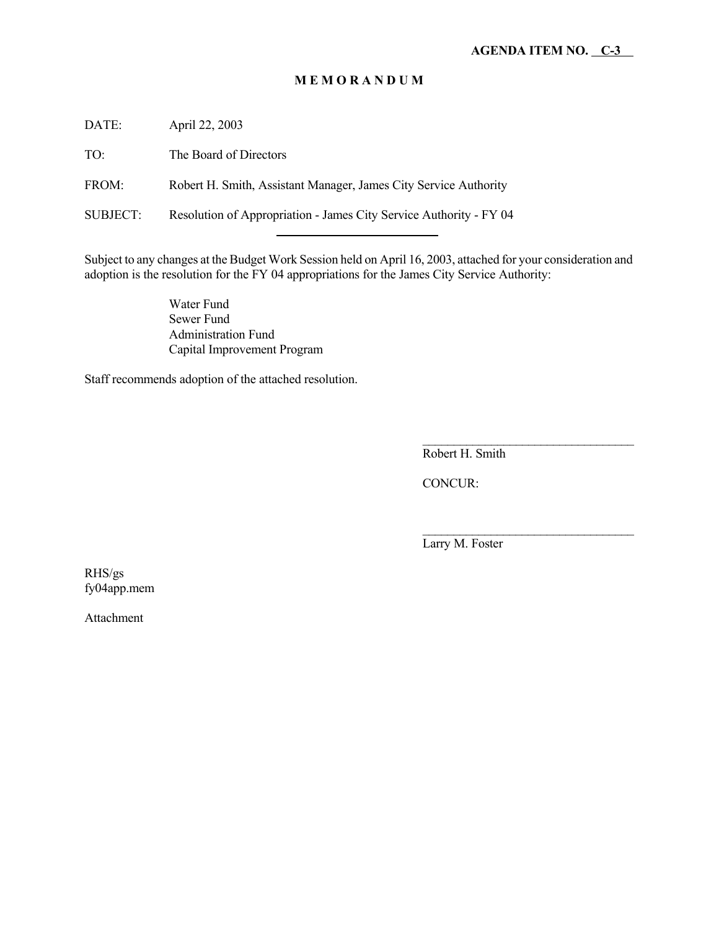# **M E M O R A N D U M**

DATE: April 22, 2003

TO: The Board of Directors

FROM: Robert H. Smith, Assistant Manager, James City Service Authority

SUBJECT: Resolution of Appropriation - James City Service Authority - FY 04

l

Subject to any changes at the Budget Work Session held on April 16, 2003, attached for your consideration and adoption is the resolution for the FY 04 appropriations for the James City Service Authority:

> Water Fund Sewer Fund Administration Fund Capital Improvement Program

Staff recommends adoption of the attached resolution.

Robert H. Smith

 $\mathcal{L}_\text{max}$ 

 $\mathcal{L}_\text{max}$ 

CONCUR:

Larry M. Foster

RHS/gs fy04app.mem

Attachment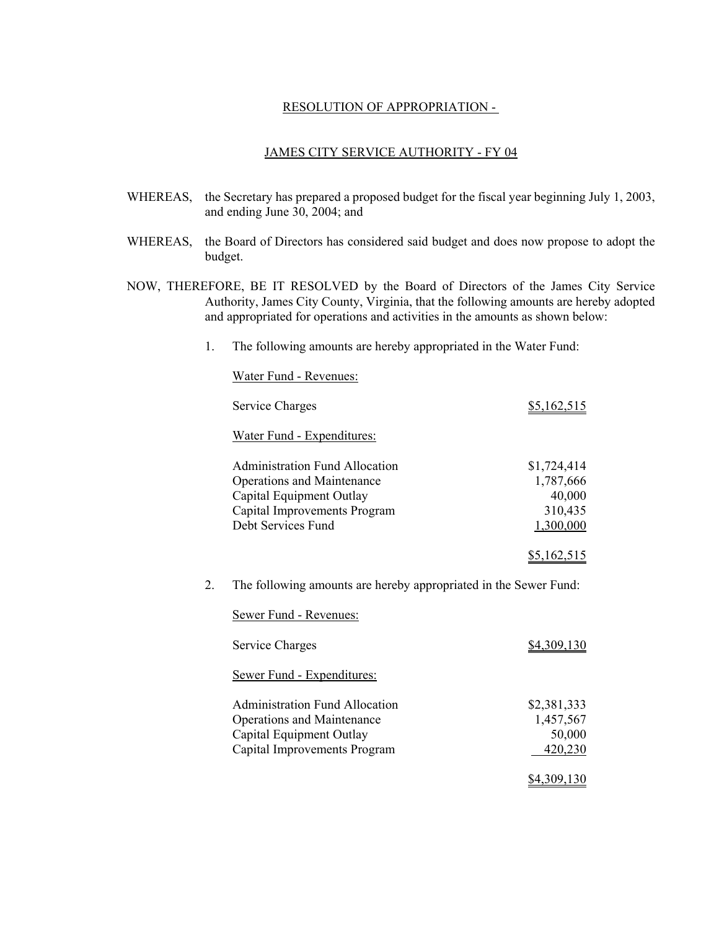#### RESOLUTION OF APPROPRIATION -

#### JAMES CITY SERVICE AUTHORITY - FY 04

- WHEREAS, the Secretary has prepared a proposed budget for the fiscal year beginning July 1, 2003, and ending June 30, 2004; and
- WHEREAS, the Board of Directors has considered said budget and does now propose to adopt the budget.
- NOW, THEREFORE, BE IT RESOLVED by the Board of Directors of the James City Service Authority, James City County, Virginia, that the following amounts are hereby adopted and appropriated for operations and activities in the amounts as shown below:
	- 1. The following amounts are hereby appropriated in the Water Fund:

Water Fund - Revenues:

|    | Service Charges                                                                                                                                              | \$5,162,515                                                |
|----|--------------------------------------------------------------------------------------------------------------------------------------------------------------|------------------------------------------------------------|
|    | <u> Water Fund - Expenditures:</u>                                                                                                                           |                                                            |
|    | <b>Administration Fund Allocation</b><br><b>Operations and Maintenance</b><br>Capital Equipment Outlay<br>Capital Improvements Program<br>Debt Services Fund | \$1,724,414<br>1,787,666<br>40,000<br>310,435<br>1,300,000 |
|    |                                                                                                                                                              | \$5,162,515                                                |
| 2. | The following amounts are hereby appropriated in the Sewer Fund:                                                                                             |                                                            |
|    | <b>Sewer Fund - Revenues:</b>                                                                                                                                |                                                            |
|    | Service Charges                                                                                                                                              | <u>\$4,309,130</u>                                         |
|    | <u>Sewer Fund - Expenditures:</u>                                                                                                                            |                                                            |
|    | Administration Fund Allocation<br><b>Operations and Maintenance</b><br>Capital Equipment Outlay<br>Capital Improvements Program                              | \$2,381,333<br>1,457,567<br>50,000<br>420,230              |
|    |                                                                                                                                                              | <u>\$4,309,130</u>                                         |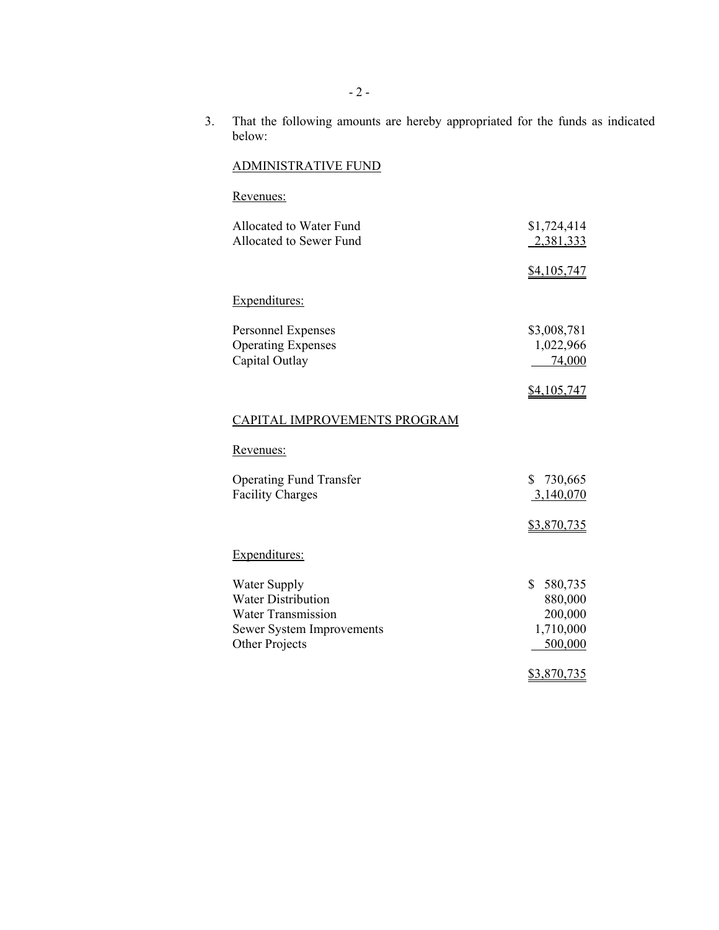3. That the following amounts are hereby appropriated for the funds as indicated below:

# ADMINISTRATIVE FUND

# Revenues:

| Allocated to Water Fund<br>Allocated to Sewer Fund                                                                           | \$1,724,414<br>2,381,333                                              |
|------------------------------------------------------------------------------------------------------------------------------|-----------------------------------------------------------------------|
|                                                                                                                              | <u>\$4,105,747</u>                                                    |
| <b>Expenditures:</b>                                                                                                         |                                                                       |
| Personnel Expenses<br><b>Operating Expenses</b><br>Capital Outlay                                                            | \$3,008,781<br>1,022,966<br>74,000                                    |
|                                                                                                                              | <u>\$4,105,747</u>                                                    |
| CAPITAL IMPROVEMENTS PROGRAM                                                                                                 |                                                                       |
| Revenues:                                                                                                                    |                                                                       |
| <b>Operating Fund Transfer</b><br><b>Facility Charges</b>                                                                    | \$730,665<br>3,140,070                                                |
|                                                                                                                              | <u>\$3,870,735</u>                                                    |
| Expenditures:                                                                                                                |                                                                       |
| <b>Water Supply</b><br><b>Water Distribution</b><br><b>Water Transmission</b><br>Sewer System Improvements<br>Other Projects | $\mathbb{S}$<br>580,735<br>880,000<br>200,000<br>1,710,000<br>500,000 |
|                                                                                                                              | <u>\$3,870,735</u>                                                    |